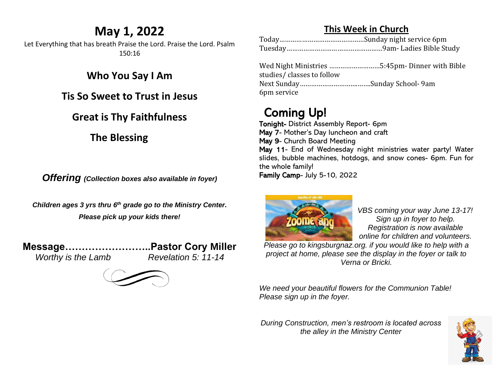### **May 1, 2022**

Let Everything that has breath Praise the Lord. Praise the Lord. Psalm 150:16

**Who You Say I Am**

**Tis So Sweet to Trust in Jesus**

#### **Great is Thy Faithfulness**

**The Blessing**

*Offering (Collection boxes also available in foyer)*

*Children ages 3 yrs thru 6 th grade go to the Ministry Center. Please pick up your kids there!*

**Message……………………..Pastor Cory Miller** *Worthy is the Lamb Revelation 5: 11-14*

### **This Week in Church**

Wed Night Ministries ………………………5:45pm- Dinner with Bible studies/ classes to follow Next Sunday………………………….…….Sunday School- 9am 6pm service

## Coming Up!

Tonight- District Assembly Report- 6pm May 7- Mother's Day luncheon and craft May 9- Church Board Meeting May 11- End of Wednesday night ministries water party! Water slides, bubble machines, hotdogs, and snow cones- 6pm. Fun for the whole family! Family Camp- July 5-10, 2022



*VBS coming your way June 13-17! Sign up in foyer to help. Registration is now available online for children and volunteers.* 

*Please go to kingsburgnaz.org. if you would like to help with a project at home, please see the display in the foyer or talk to Verna or Bricki.* 

*We need your beautiful flowers for the Communion Table! Please sign up in the foyer.* 

*During Construction, men's restroom is located across the alley in the Ministry Center*